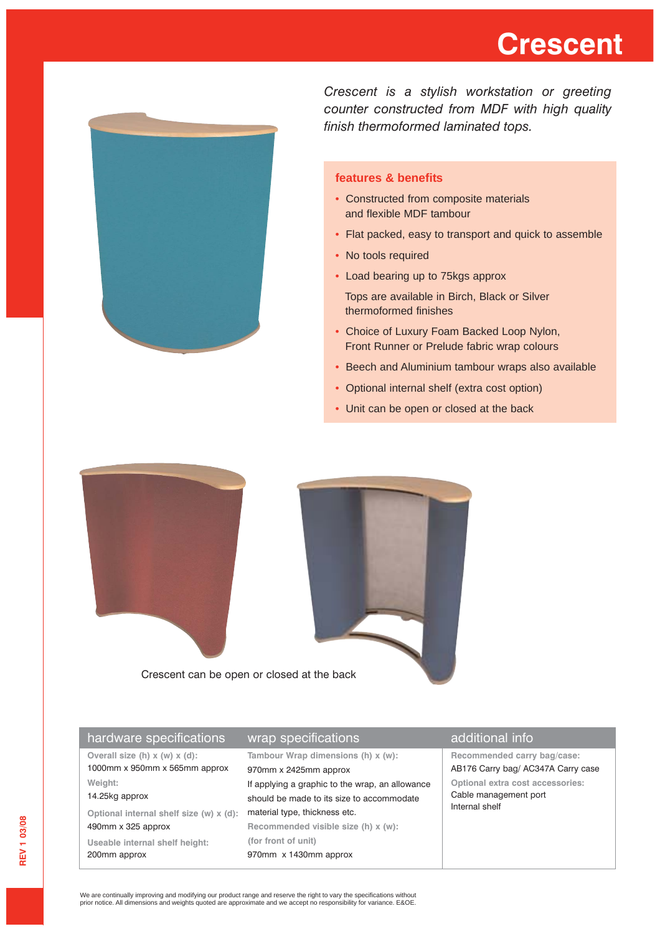## **Crescent**



*Crescent is a stylish workstation or greeting counter constructed from MDF with high quality finish thermoformed laminated tops.*

### **features & benefits**

- Constructed from composite materials and flexible MDF tambour
- Flat packed, easy to transport and quick to assemble
- No tools required
- Load bearing up to 75kgs approx

Tops are available in Birch, Black or Silver thermoformed finishes

- Choice of Luxury Foam Backed Loop Nylon, Front Runner or Prelude fabric wrap colours
- Beech and Aluminium tambour wraps also available
- Optional internal shelf (extra cost option)
- Unit can be open or closed at the back



Crescent can be open or closed at the back

|  | hardware specifications                 | wrap specifications                             | additional info                                                                                                   |
|--|-----------------------------------------|-------------------------------------------------|-------------------------------------------------------------------------------------------------------------------|
|  | Overall size (h) $x(w)$ $x(d)$ :        | Tambour Wrap dimensions (h) x (w):              | Recommended carry bag/case:                                                                                       |
|  | 1000mm x 950mm x 565mm approx           | 970mm x 2425mm approx                           | AB176 Carry bag/ AC347A Carry case<br>Optional extra cost accessories:<br>Cable management port<br>Internal shelf |
|  | Weight:                                 | If applying a graphic to the wrap, an allowance |                                                                                                                   |
|  | 14.25kg approx                          | should be made to its size to accommodate       |                                                                                                                   |
|  | Optional internal shelf size (w) x (d): | material type, thickness etc.                   |                                                                                                                   |
|  | 490mm x 325 approx                      | Recommended visible size (h) x (w):             |                                                                                                                   |
|  | Useable internal shelf height:          | (for front of unit)                             |                                                                                                                   |
|  | 200mm approx                            | 970mm x 1430mm approx                           |                                                                                                                   |
|  |                                         |                                                 |                                                                                                                   |

We are continually improving and modifying our product range and reserve the right to vary the specifications without prior notice. All dimensions and weights quoted are approximate and we accept no responsibility for variance. E&OE.